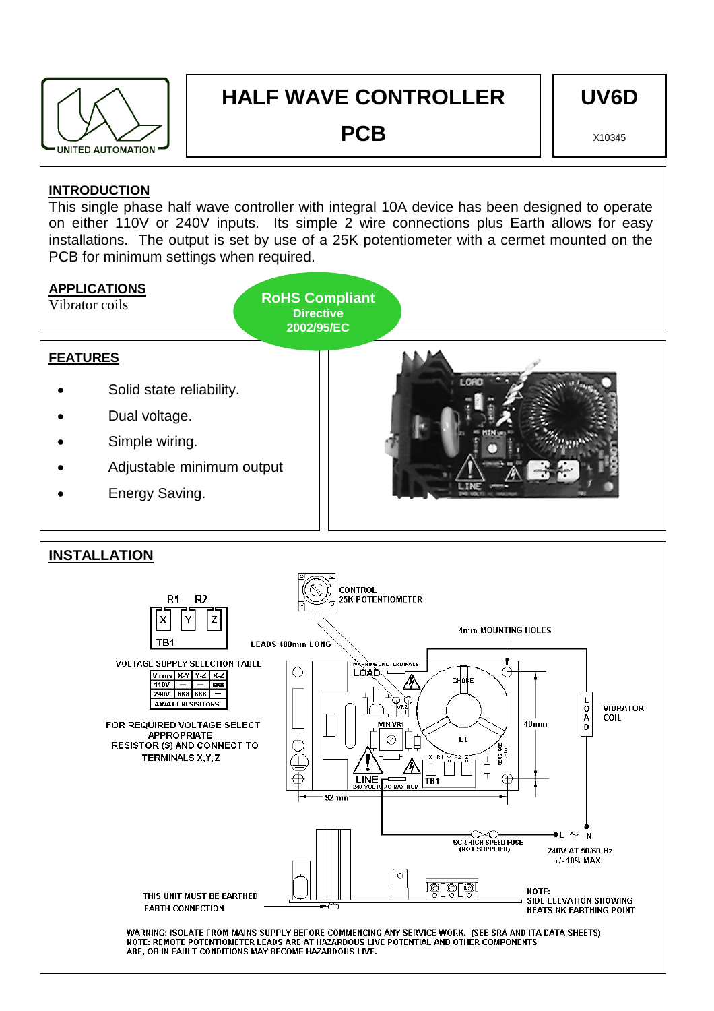

# **HALF WAVE CONTROLLER**

**PCB** 

**UV6D** 

X10345

# **INTRODUCTION**

This single phase half wave controller with integral 10A device has been designed to operate on either 110V or 240V inputs. Its simple 2 wire connections plus Earth allows for easy installations. The output is set by use of a 25K potentiometer with a cermet mounted on the PCB for minimum settings when required.